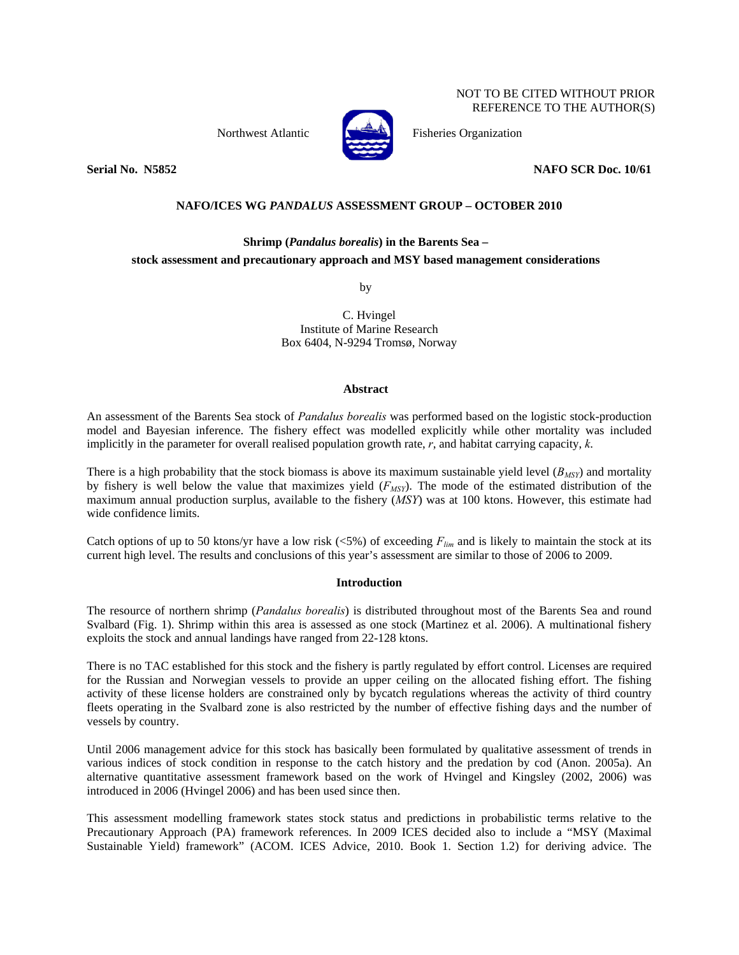Northwest Atlantic **Fisheries Organization** 



**Serial No. N5852 NAFO SCR Doc. 10/61** 

NOT TO BE CITED WITHOUT PRIOR REFERENCE TO THE AUTHOR(S)

# **NAFO/ICES WG** *PANDALUS* **ASSESSMENT GROUP – OCTOBER 2010**

# **Shrimp (***Pandalus borealis***) in the Barents Sea – stock assessment and precautionary approach and MSY based management considerations**

by

C. Hvingel Institute of Marine Research Box 6404, N-9294 Tromsø, Norway

## **Abstract**

An assessment of the Barents Sea stock of *Pandalus borealis* was performed based on the logistic stock-production model and Bayesian inference. The fishery effect was modelled explicitly while other mortality was included implicitly in the parameter for overall realised population growth rate, *r*, and habitat carrying capacity, *k*.

There is a high probability that the stock biomass is above its maximum sustainable yield level  $(B_{MST})$  and mortality by fishery is well below the value that maximizes yield ( $F_{MSY}$ ). The mode of the estimated distribution of the maximum annual production surplus, available to the fishery (*MSY*) was at 100 ktons. However, this estimate had wide confidence limits.

Catch options of up to 50 ktons/yr have a low risk  $(\langle 5\% \rangle)$  of exceeding  $F_{lim}$  and is likely to maintain the stock at its current high level. The results and conclusions of this year's assessment are similar to those of 2006 to 2009.

## **Introduction**

The resource of northern shrimp (*Pandalus borealis*) is distributed throughout most of the Barents Sea and round Svalbard (Fig. 1). Shrimp within this area is assessed as one stock (Martinez et al. 2006). A multinational fishery exploits the stock and annual landings have ranged from 22-128 ktons.

There is no TAC established for this stock and the fishery is partly regulated by effort control. Licenses are required for the Russian and Norwegian vessels to provide an upper ceiling on the allocated fishing effort. The fishing activity of these license holders are constrained only by bycatch regulations whereas the activity of third country fleets operating in the Svalbard zone is also restricted by the number of effective fishing days and the number of vessels by country.

Until 2006 management advice for this stock has basically been formulated by qualitative assessment of trends in various indices of stock condition in response to the catch history and the predation by cod (Anon. 2005a). An alternative quantitative assessment framework based on the work of Hvingel and Kingsley (2002, 2006) was introduced in 2006 (Hvingel 2006) and has been used since then.

This assessment modelling framework states stock status and predictions in probabilistic terms relative to the Precautionary Approach (PA) framework references. In 2009 ICES decided also to include a "MSY (Maximal Sustainable Yield) framework" (ACOM. ICES Advice, 2010. Book 1. Section 1.2) for deriving advice. The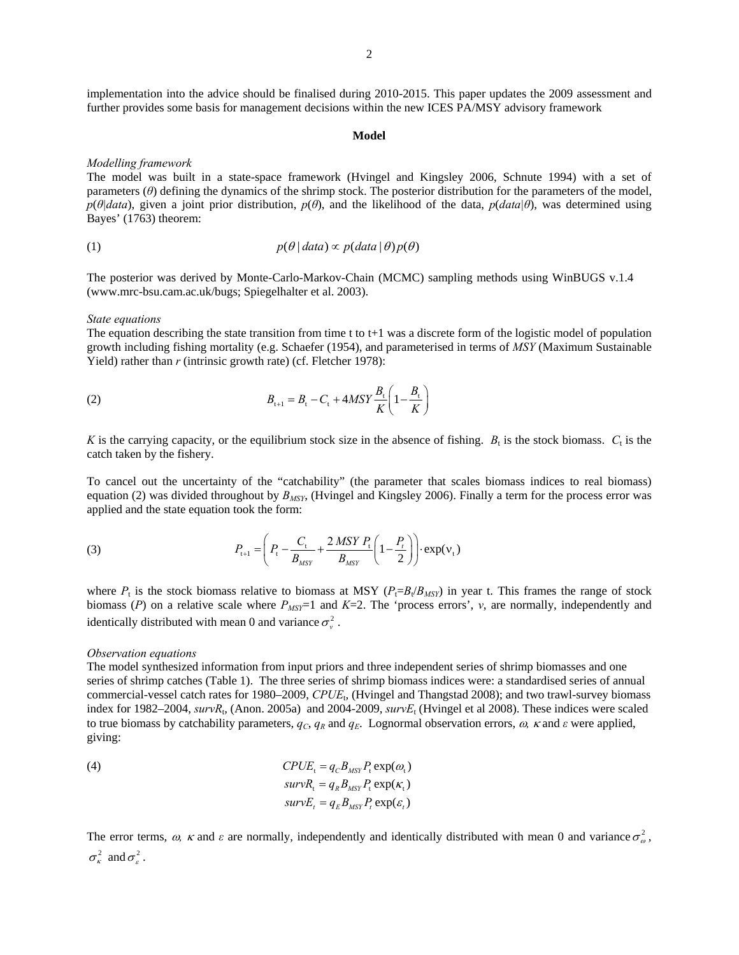implementation into the advice should be finalised during 2010-2015. This paper updates the 2009 assessment and further provides some basis for management decisions within the new ICES PA/MSY advisory framework

#### **Model**

## *Modelling framework*

The model was built in a state-space framework (Hvingel and Kingsley 2006, Schnute 1994) with a set of parameters (*θ*) defining the dynamics of the shrimp stock. The posterior distribution for the parameters of the model, *p*(*θ|data*), given a joint prior distribution, *p*(*θ*), and the likelihood of the data, *p*(*data|θ*), was determined using Bayes' (1763) theorem:

(1) 
$$
p(\theta | data) \propto p(data | \theta) p(\theta)
$$

The posterior was derived by Monte-Carlo-Markov-Chain (MCMC) sampling methods using WinBUGS v.1.4 (www.mrc-bsu.cam.ac.uk/bugs; Spiegelhalter et al. 2003).

#### *State equations*

The equation describing the state transition from time t to t+1 was a discrete form of the logistic model of population growth including fishing mortality (e.g. Schaefer (1954), and parameterised in terms of *MSY* (Maximum Sustainable Yield) rather than *r* (intrinsic growth rate) (cf. Fletcher 1978):

(2) 
$$
B_{t+1} = B_t - C_t + 4MSY \frac{B_t}{K} \left( 1 - \frac{B_t}{K} \right)
$$

*K* is the carrying capacity, or the equilibrium stock size in the absence of fishing.  $B_t$  is the stock biomass.  $C_t$  is the catch taken by the fishery.

To cancel out the uncertainty of the "catchability" (the parameter that scales biomass indices to real biomass) equation (2) was divided throughout by *BMSY*, (Hvingel and Kingsley 2006). Finally a term for the process error was applied and the state equation took the form:

(3) 
$$
P_{t+1} = \left(P_t - \frac{C_t}{B_{MSY}} + \frac{2 \, MSY \, P_t}{B_{MSY}} \left(1 - \frac{P_t}{2}\right)\right) \cdot \exp(v_t)
$$

where  $P_t$  is the stock biomass relative to biomass at MSY ( $P_t = B_t/B_{MST}$ ) in year t. This frames the range of stock biomass  $(P)$  on a relative scale where  $P_{MST}$  and  $K=2$ . The 'process errors', *v*, are normally, independently and identically distributed with mean 0 and variance  $\sigma_v^2$ .

#### *Observation equations*

The model synthesized information from input priors and three independent series of shrimp biomasses and one series of shrimp catches (Table 1). The three series of shrimp biomass indices were: a standardised series of annual commercial-vessel catch rates for 1980–2009, *CPUE*t, (Hvingel and Thangstad 2008); and two trawl-survey biomass index for 1982–2004, *survR*<sub>t</sub>, (Anon. 2005a) and 2004-2009, *survE*<sub>t</sub> (Hvingel et al 2008). These indices were scaled to true biomass by catchability parameters,  $q_c$ ,  $q_R$  and  $q_E$ . Lognormal observation errors,  $\omega$ ,  $\kappa$  and  $\varepsilon$  were applied, giving:

(4) 
$$
CPUE_t = q_C B_{MSY} P_t \exp(\omega_t)
$$

$$
survR_t = q_R B_{MSY} P_t \exp(\kappa_t)
$$

$$
survE_t = q_E B_{MSY} P_t \exp(\varepsilon_t)
$$

The error terms,  $\omega$ ,  $\kappa$  and  $\varepsilon$  are normally, independently and identically distributed with mean 0 and variance  $\sigma^2$ ,  $\sigma_{\epsilon}^2$  and  $\sigma_{\epsilon}^2$ .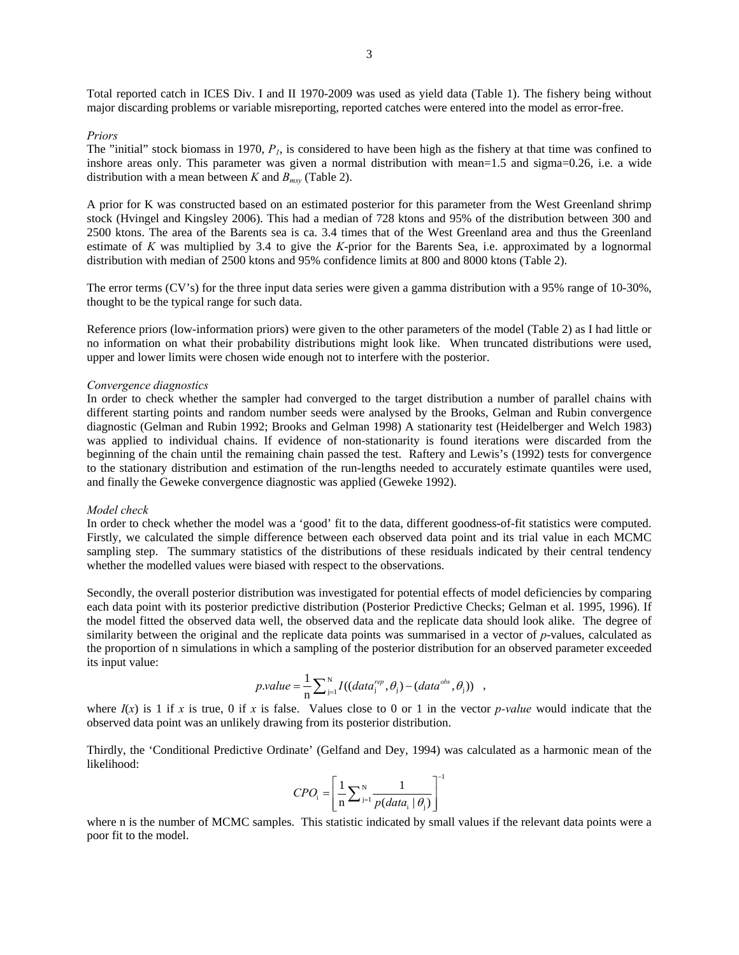Total reported catch in ICES Div. I and II 1970-2009 was used as yield data (Table 1). The fishery being without major discarding problems or variable misreporting, reported catches were entered into the model as error-free.

#### *Priors*

The "initial" stock biomass in 1970, *P1*, is considered to have been high as the fishery at that time was confined to inshore areas only. This parameter was given a normal distribution with mean=1.5 and sigma=0.26, i.e. a wide distribution with a mean between *K* and  $B_{msy}$  (Table 2).

A prior for K was constructed based on an estimated posterior for this parameter from the West Greenland shrimp stock (Hvingel and Kingsley 2006). This had a median of 728 ktons and 95% of the distribution between 300 and 2500 ktons. The area of the Barents sea is ca. 3.4 times that of the West Greenland area and thus the Greenland estimate of *K* was multiplied by 3.4 to give the *K*-prior for the Barents Sea, i.e. approximated by a lognormal distribution with median of 2500 ktons and 95% confidence limits at 800 and 8000 ktons (Table 2).

The error terms (CV's) for the three input data series were given a gamma distribution with a 95% range of 10-30%, thought to be the typical range for such data.

Reference priors (low-information priors) were given to the other parameters of the model (Table 2) as I had little or no information on what their probability distributions might look like. When truncated distributions were used, upper and lower limits were chosen wide enough not to interfere with the posterior.

#### *Convergence diagnostics*

In order to check whether the sampler had converged to the target distribution a number of parallel chains with different starting points and random number seeds were analysed by the Brooks, Gelman and Rubin convergence diagnostic (Gelman and Rubin 1992; Brooks and Gelman 1998) A stationarity test (Heidelberger and Welch 1983) was applied to individual chains. If evidence of non-stationarity is found iterations were discarded from the beginning of the chain until the remaining chain passed the test. Raftery and Lewis's (1992) tests for convergence to the stationary distribution and estimation of the run-lengths needed to accurately estimate quantiles were used, and finally the Geweke convergence diagnostic was applied (Geweke 1992).

## *Model check*

In order to check whether the model was a 'good' fit to the data, different goodness-of-fit statistics were computed. Firstly, we calculated the simple difference between each observed data point and its trial value in each MCMC sampling step. The summary statistics of the distributions of these residuals indicated by their central tendency whether the modelled values were biased with respect to the observations.

Secondly, the overall posterior distribution was investigated for potential effects of model deficiencies by comparing each data point with its posterior predictive distribution (Posterior Predictive Checks; Gelman et al. 1995, 1996). If the model fitted the observed data well, the observed data and the replicate data should look alike. The degree of similarity between the original and the replicate data points was summarised in a vector of *p*-values, calculated as the proportion of n simulations in which a sampling of the posterior distribution for an observed parameter exceeded its input value:

$$
p.value = \frac{1}{n} \sum_{j=1}^{N} I((data_j^{rep}, \theta_j) - (data^{obs}, \theta_j)) ,
$$

where  $I(x)$  is 1 if *x* is true, 0 if *x* is false. Values close to 0 or 1 in the vector *p-value* would indicate that the observed data point was an unlikely drawing from its posterior distribution.

Thirdly, the 'Conditional Predictive Ordinate' (Gelfand and Dey, 1994) was calculated as a harmonic mean of the likelihood:  $\Gamma$ 

$$
CPO_{i} = \left[\frac{1}{n}\sum_{j=1}^{N} \frac{1}{p(data_{i} | \theta_{j})}\right]^{-1}
$$

where n is the number of MCMC samples. This statistic indicated by small values if the relevant data points were a poor fit to the model.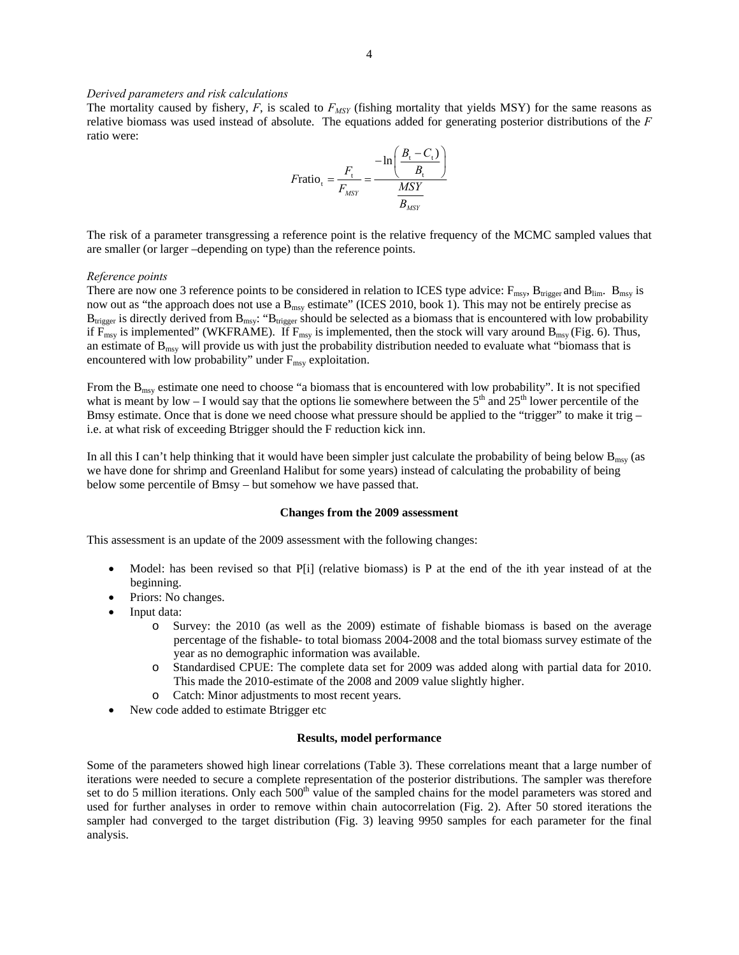# *Derived parameters and risk calculations*

The mortality caused by fishery,  $F$ , is scaled to  $F_{MST}$  (fishing mortality that yields MSY) for the same reasons as relative biomass was used instead of absolute. The equations added for generating posterior distributions of the *F* ratio were:

$$
F \text{ratio}_{t} = \frac{F_{t}}{F_{MSY}} = \frac{-\ln\left(\frac{B_{t} - C_{t}}{B_{t}}\right)}{\frac{MSY}{B_{MSY}}}
$$

The risk of a parameter transgressing a reference point is the relative frequency of the MCMC sampled values that are smaller (or larger –depending on type) than the reference points.

#### *Reference points*

There are now one 3 reference points to be considered in relation to ICES type advice:  $F_{\text{msy}}$ ,  $B_{\text{trigger}}$  and  $B_{\text{lim}}$ .  $B_{\text{msy}}$  is now out as "the approach does not use a  $B_{\text{msy}}$  estimate" (ICES 2010, book 1). This may not be entirely precise as  $B_{trigger}$  is directly derived from  $B_{msy}$ : " $B_{trigger}$  should be selected as a biomass that is encountered with low probability if  $\overline{F}_{msy}$  is implemented" (WKFRAME). If  $F_{msy}$  is implemented, then the stock will vary around  $B_{msy}$  (Fig. 6). Thus, an estimate of  $B_{\text{msy}}$  will provide us with just the probability distribution needed to evaluate what "biomass that is encountered with low probability" under  $F_{\text{msy}}$  exploitation.

From the  $B_{\text{msy}}$  estimate one need to choose "a biomass that is encountered with low probability". It is not specified what is meant by low – I would say that the options lie somewhere between the  $5<sup>th</sup>$  and  $25<sup>th</sup>$  lower percentile of the Bmsy estimate. Once that is done we need choose what pressure should be applied to the "trigger" to make it trig – i.e. at what risk of exceeding Btrigger should the F reduction kick inn.

In all this I can't help thinking that it would have been simpler just calculate the probability of being below  $B_{\text{msy}}$  (as we have done for shrimp and Greenland Halibut for some years) instead of calculating the probability of being below some percentile of Bmsy – but somehow we have passed that.

#### **Changes from the 2009 assessment**

This assessment is an update of the 2009 assessment with the following changes:

- Model: has been revised so that P[i] (relative biomass) is P at the end of the ith year instead of at the beginning.
- Priors: No changes.
- Input data:
	- o Survey: the 2010 (as well as the 2009) estimate of fishable biomass is based on the average percentage of the fishable- to total biomass 2004-2008 and the total biomass survey estimate of the year as no demographic information was available.
	- o Standardised CPUE: The complete data set for 2009 was added along with partial data for 2010. This made the 2010-estimate of the 2008 and 2009 value slightly higher.
	- o Catch: Minor adjustments to most recent years.
- New code added to estimate Btrigger etc

### **Results, model performance**

Some of the parameters showed high linear correlations (Table 3). These correlations meant that a large number of iterations were needed to secure a complete representation of the posterior distributions. The sampler was therefore set to do 5 million iterations. Only each  $500<sup>th</sup>$  value of the sampled chains for the model parameters was stored and used for further analyses in order to remove within chain autocorrelation (Fig. 2). After 50 stored iterations the sampler had converged to the target distribution (Fig. 3) leaving 9950 samples for each parameter for the final analysis.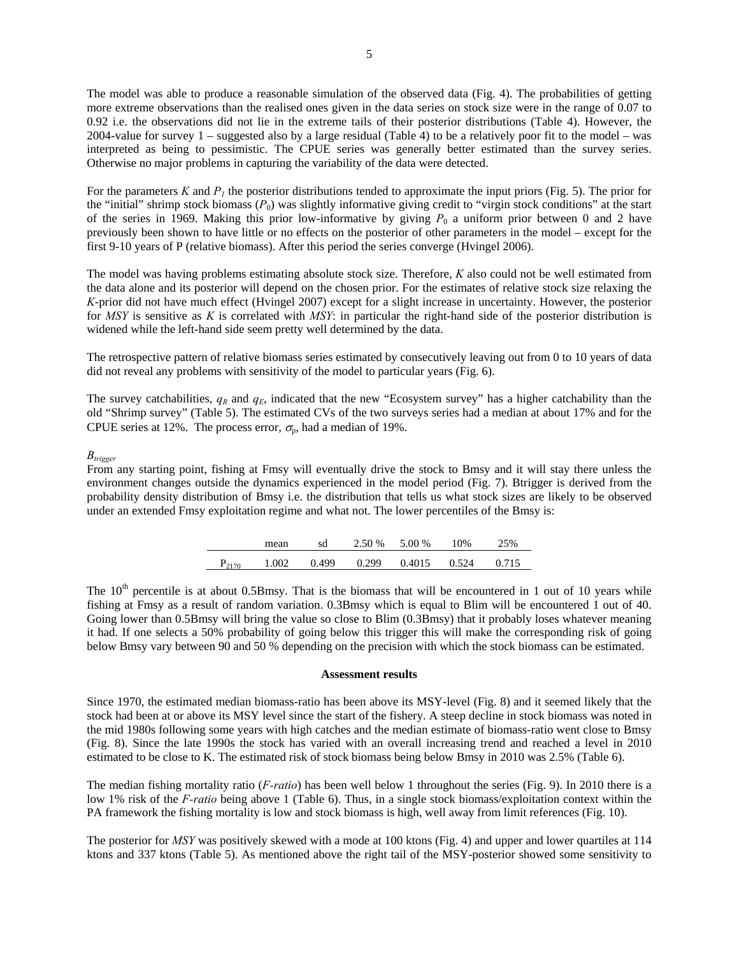The model was able to produce a reasonable simulation of the observed data (Fig. 4). The probabilities of getting more extreme observations than the realised ones given in the data series on stock size were in the range of 0.07 to 0.92 i.e. the observations did not lie in the extreme tails of their posterior distributions (Table 4). However, the 2004-value for survey 1 – suggested also by a large residual (Table 4) to be a relatively poor fit to the model – was interpreted as being to pessimistic. The CPUE series was generally better estimated than the survey series. Otherwise no major problems in capturing the variability of the data were detected.

For the parameters  $K$  and  $P<sub>l</sub>$  the posterior distributions tended to approximate the input priors (Fig. 5). The prior for the "initial" shrimp stock biomass  $(P_0)$  was slightly informative giving credit to "virgin stock conditions" at the start of the series in 1969. Making this prior low-informative by giving  $P_0$  a uniform prior between 0 and 2 have previously been shown to have little or no effects on the posterior of other parameters in the model – except for the first 9-10 years of P (relative biomass). After this period the series converge (Hvingel 2006).

The model was having problems estimating absolute stock size. Therefore, *K* also could not be well estimated from the data alone and its posterior will depend on the chosen prior. For the estimates of relative stock size relaxing the *K*-prior did not have much effect (Hvingel 2007) except for a slight increase in uncertainty. However, the posterior for *MSY* is sensitive as *K* is correlated with *MSY*: in particular the right-hand side of the posterior distribution is widened while the left-hand side seem pretty well determined by the data.

The retrospective pattern of relative biomass series estimated by consecutively leaving out from 0 to 10 years of data did not reveal any problems with sensitivity of the model to particular years (Fig. 6).

The survey catchabilities,  $q_R$  and  $q_E$ , indicated that the new "Ecosystem survey" has a higher catchability than the old "Shrimp survey" (Table 5). The estimated CVs of the two surveys series had a median at about 17% and for the CPUE series at 12%. The process error,  $\sigma_{p}$ , had a median of 19%.

### *Btrigger*

From any starting point, fishing at Fmsy will eventually drive the stock to Bmsy and it will stay there unless the environment changes outside the dynamics experienced in the model period (Fig. 7). Btrigger is derived from the probability density distribution of Bmsy i.e. the distribution that tells us what stock sizes are likely to be observed under an extended Fmsy exploitation regime and what not. The lower percentiles of the Bmsy is:

|            | mean  | sd    | 2.50 % | 5.00 % | 10%   | 25%   |
|------------|-------|-------|--------|--------|-------|-------|
| $P_{2170}$ | 1.002 | 0.499 | 0.299  | 0.4015 | 0.524 | 0.715 |

The  $10<sup>th</sup>$  percentile is at about 0.5Bmsy. That is the biomass that will be encountered in 1 out of 10 years while fishing at Fmsy as a result of random variation. 0.3Bmsy which is equal to Blim will be encountered 1 out of 40. Going lower than 0.5Bmsy will bring the value so close to Blim (0.3Bmsy) that it probably loses whatever meaning it had. If one selects a 50% probability of going below this trigger this will make the corresponding risk of going below Bmsy vary between 90 and 50 % depending on the precision with which the stock biomass can be estimated.

#### **Assessment results**

Since 1970, the estimated median biomass-ratio has been above its MSY-level (Fig. 8) and it seemed likely that the stock had been at or above its MSY level since the start of the fishery. A steep decline in stock biomass was noted in the mid 1980s following some years with high catches and the median estimate of biomass-ratio went close to Bmsy (Fig. 8). Since the late 1990s the stock has varied with an overall increasing trend and reached a level in 2010 estimated to be close to K. The estimated risk of stock biomass being below Bmsy in 2010 was 2.5% (Table 6).

The median fishing mortality ratio (*F-ratio*) has been well below 1 throughout the series (Fig. 9). In 2010 there is a low 1% risk of the *F-ratio* being above 1 (Table 6). Thus, in a single stock biomass/exploitation context within the PA framework the fishing mortality is low and stock biomass is high, well away from limit references (Fig. 10).

The posterior for *MSY* was positively skewed with a mode at 100 ktons (Fig. 4) and upper and lower quartiles at 114 ktons and 337 ktons (Table 5). As mentioned above the right tail of the MSY-posterior showed some sensitivity to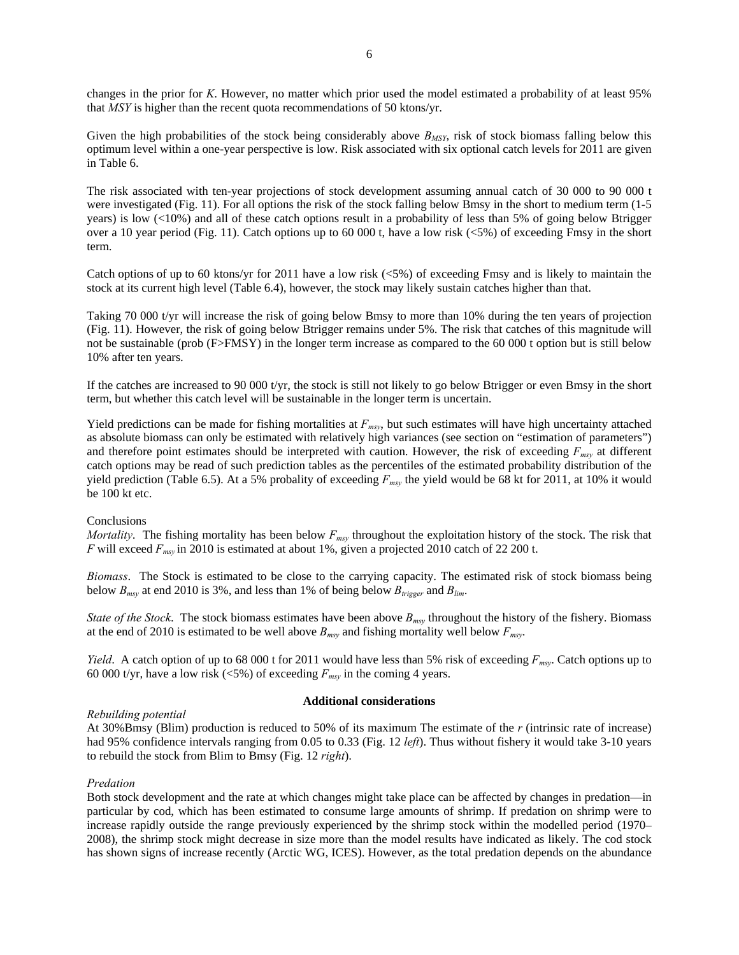changes in the prior for *K*. However, no matter which prior used the model estimated a probability of at least 95% that *MSY* is higher than the recent quota recommendations of 50 ktons/yr.

Given the high probabilities of the stock being considerably above  $B_{MSY}$ , risk of stock biomass falling below this optimum level within a one-year perspective is low. Risk associated with six optional catch levels for 2011 are given in Table 6.

The risk associated with ten-year projections of stock development assuming annual catch of 30 000 to 90 000 t were investigated (Fig. 11). For all options the risk of the stock falling below Bmsy in the short to medium term (1-5 years) is low (<10%) and all of these catch options result in a probability of less than 5% of going below Btrigger over a 10 year period (Fig. 11). Catch options up to 60 000 t, have a low risk (<5%) of exceeding Fmsy in the short term.

Catch options of up to 60 ktons/yr for 2011 have a low risk (<5%) of exceeding Fmsy and is likely to maintain the stock at its current high level (Table 6.4), however, the stock may likely sustain catches higher than that.

Taking 70 000 t/yr will increase the risk of going below Bmsy to more than 10% during the ten years of projection (Fig. 11). However, the risk of going below Btrigger remains under 5%. The risk that catches of this magnitude will not be sustainable (prob (F>FMSY) in the longer term increase as compared to the 60 000 t option but is still below 10% after ten years.

If the catches are increased to 90 000 t/yr, the stock is still not likely to go below Btrigger or even Bmsy in the short term, but whether this catch level will be sustainable in the longer term is uncertain.

Yield predictions can be made for fishing mortalities at  $F_{msv}$ , but such estimates will have high uncertainty attached as absolute biomass can only be estimated with relatively high variances (see section on "estimation of parameters") and therefore point estimates should be interpreted with caution. However, the risk of exceeding  $F_{msy}$  at different catch options may be read of such prediction tables as the percentiles of the estimated probability distribution of the yield prediction (Table 6.5). At a 5% probality of exceeding *Fmsy* the yield would be 68 kt for 2011, at 10% it would be 100 kt etc.

## Conclusions

*Mortality*. The fishing mortality has been below  $F_{msy}$  throughout the exploitation history of the stock. The risk that *F* will exceed *Fmsy* in 2010 is estimated at about 1%, given a projected 2010 catch of 22 200 t.

*Biomass*. The Stock is estimated to be close to the carrying capacity. The estimated risk of stock biomass being below  $B_{msv}$  at end 2010 is 3%, and less than 1% of being below  $B_{trigger}$  and  $B_{lim}$ .

*State of the Stock*. The stock biomass estimates have been above *Bmsy* throughout the history of the fishery. Biomass at the end of 2010 is estimated to be well above *Bmsy* and fishing mortality well below *Fmsy*.

*Yield*. A catch option of up to 68 000 t for 2011 would have less than 5% risk of exceeding *Fmsy*. Catch options up to 60 000 t/yr, have a low risk  $(\leq 5\%)$  of exceeding  $F_{msv}$  in the coming 4 years.

## *Rebuilding potential*

### **Additional considerations**

At 30%Bmsy (Blim) production is reduced to 50% of its maximum The estimate of the *r* (intrinsic rate of increase) had 95% confidence intervals ranging from 0.05 to 0.33 (Fig. 12 *left*). Thus without fishery it would take 3-10 years to rebuild the stock from Blim to Bmsy (Fig. 12 *right*).

## *Predation*

Both stock development and the rate at which changes might take place can be affected by changes in predation—in particular by cod, which has been estimated to consume large amounts of shrimp. If predation on shrimp were to increase rapidly outside the range previously experienced by the shrimp stock within the modelled period (1970– 2008), the shrimp stock might decrease in size more than the model results have indicated as likely. The cod stock has shown signs of increase recently (Arctic WG, ICES). However, as the total predation depends on the abundance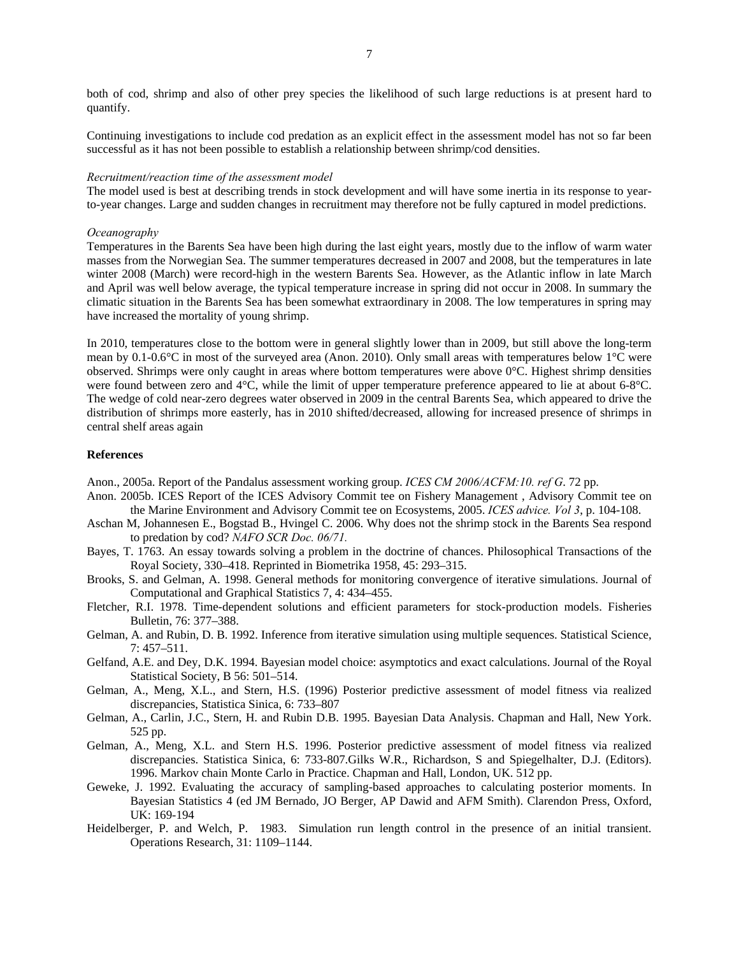both of cod, shrimp and also of other prey species the likelihood of such large reductions is at present hard to quantify.

Continuing investigations to include cod predation as an explicit effect in the assessment model has not so far been successful as it has not been possible to establish a relationship between shrimp/cod densities.

#### *Recruitment/reaction time of the assessment model*

The model used is best at describing trends in stock development and will have some inertia in its response to yearto-year changes. Large and sudden changes in recruitment may therefore not be fully captured in model predictions.

#### *Oceanography*

Temperatures in the Barents Sea have been high during the last eight years, mostly due to the inflow of warm water masses from the Norwegian Sea. The summer temperatures decreased in 2007 and 2008, but the temperatures in late winter 2008 (March) were record-high in the western Barents Sea. However, as the Atlantic inflow in late March and April was well below average, the typical temperature increase in spring did not occur in 2008. In summary the climatic situation in the Barents Sea has been somewhat extraordinary in 2008. The low temperatures in spring may have increased the mortality of young shrimp.

In 2010, temperatures close to the bottom were in general slightly lower than in 2009, but still above the long-term mean by 0.1-0.6°C in most of the surveyed area (Anon. 2010). Only small areas with temperatures below 1°C were observed. Shrimps were only caught in areas where bottom temperatures were above 0°C. Highest shrimp densities were found between zero and 4°C, while the limit of upper temperature preference appeared to lie at about 6-8°C. The wedge of cold near-zero degrees water observed in 2009 in the central Barents Sea, which appeared to drive the distribution of shrimps more easterly, has in 2010 shifted/decreased, allowing for increased presence of shrimps in central shelf areas again

#### **References**

Anon., 2005a. Report of the Pandalus assessment working group. *ICES CM 2006/ACFM:10. ref G*. 72 pp.

- Anon. 2005b. ICES Report of the ICES Advisory Commit tee on Fishery Management , Advisory Commit tee on the Marine Environment and Advisory Commit tee on Ecosystems, 2005. *ICES advice. Vol 3*, p. 104-108.
- Aschan M, Johannesen E., Bogstad B., Hvingel C. 2006. Why does not the shrimp stock in the Barents Sea respond to predation by cod? *NAFO SCR Doc. 06/71.*
- Bayes, T. 1763. An essay towards solving a problem in the doctrine of chances. Philosophical Transactions of the Royal Society, 330–418. Reprinted in Biometrika 1958, 45: 293–315.
- Brooks, S. and Gelman, A. 1998. General methods for monitoring convergence of iterative simulations. Journal of Computational and Graphical Statistics 7, 4: 434–455.
- Fletcher, R.I. 1978. Time-dependent solutions and efficient parameters for stock-production models. Fisheries Bulletin, 76: 377–388.
- Gelman, A. and Rubin, D. B. 1992. Inference from iterative simulation using multiple sequences. Statistical Science, 7: 457–511.
- Gelfand, A.E. and Dey, D.K. 1994. Bayesian model choice: asymptotics and exact calculations. Journal of the Royal Statistical Society, B 56: 501–514.
- Gelman, A., Meng, X.L., and Stern, H.S. (1996) Posterior predictive assessment of model fitness via realized discrepancies, Statistica Sinica, 6: 733–807
- Gelman, A., Carlin, J.C., Stern, H. and Rubin D.B. 1995. Bayesian Data Analysis. Chapman and Hall, New York. 525 pp.
- Gelman, A., Meng, X.L. and Stern H.S. 1996. Posterior predictive assessment of model fitness via realized discrepancies. Statistica Sinica, 6: 733-807.Gilks W.R., Richardson, S and Spiegelhalter, D.J. (Editors). 1996. Markov chain Monte Carlo in Practice. Chapman and Hall, London, UK. 512 pp.
- Geweke, J. 1992. Evaluating the accuracy of sampling-based approaches to calculating posterior moments. In Bayesian Statistics 4 (ed JM Bernado, JO Berger, AP Dawid and AFM Smith). Clarendon Press, Oxford, UK: 169-194
- Heidelberger, P. and Welch, P. 1983. Simulation run length control in the presence of an initial transient. Operations Research, 31: 1109–1144.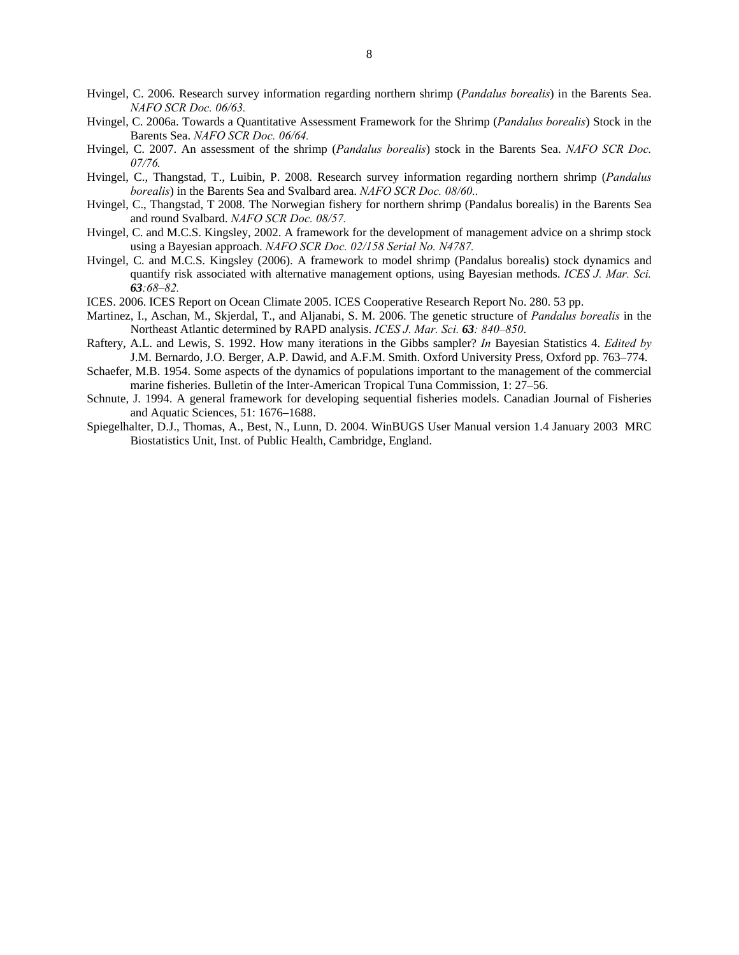- Hvingel, C. 2006. Research survey information regarding northern shrimp (*Pandalus borealis*) in the Barents Sea. *NAFO SCR Doc. 06/63.*
- Hvingel, C. 2006a. Towards a Quantitative Assessment Framework for the Shrimp (*Pandalus borealis*) Stock in the Barents Sea. *NAFO SCR Doc. 06/64.*
- Hvingel, C. 2007. An assessment of the shrimp (*Pandalus borealis*) stock in the Barents Sea. *NAFO SCR Doc. 07/76.*
- Hvingel, C., Thangstad, T., Luibin, P. 2008. Research survey information regarding northern shrimp (*Pandalus borealis*) in the Barents Sea and Svalbard area. *NAFO SCR Doc. 08/60..*
- Hvingel, C., Thangstad, T 2008. The Norwegian fishery for northern shrimp (Pandalus borealis) in the Barents Sea and round Svalbard. *NAFO SCR Doc. 08/57.*
- Hvingel, C. and M.C.S. Kingsley, 2002. A framework for the development of management advice on a shrimp stock using a Bayesian approach. *NAFO SCR Doc. 02/158 Serial No. N4787.*
- Hvingel, C. and M.C.S. Kingsley (2006). A framework to model shrimp (Pandalus borealis) stock dynamics and quantify risk associated with alternative management options, using Bayesian methods. *ICES J. Mar. Sci. 63:68–82.*
- ICES. 2006. ICES Report on Ocean Climate 2005. ICES Cooperative Research Report No. 280. 53 pp.
- Martinez, I., Aschan, M., Skjerdal, T., and Aljanabi, S. M. 2006. The genetic structure of *Pandalus borealis* in the Northeast Atlantic determined by RAPD analysis. *ICES J. Mar. Sci. 63: 840–850*.
- Raftery, A.L. and Lewis, S. 1992. How many iterations in the Gibbs sampler? *In* Bayesian Statistics 4. *Edited by* J.M. Bernardo, J.O. Berger, A.P. Dawid, and A.F.M. Smith. Oxford University Press, Oxford pp. 763–774.
- Schaefer, M.B. 1954. Some aspects of the dynamics of populations important to the management of the commercial marine fisheries. Bulletin of the Inter-American Tropical Tuna Commission, 1: 27–56.
- Schnute, J. 1994. A general framework for developing sequential fisheries models. Canadian Journal of Fisheries and Aquatic Sciences, 51: 1676–1688.
- Spiegelhalter, D.J., Thomas, A., Best, N., Lunn, D. 2004. WinBUGS User Manual version 1.4 January 2003 MRC Biostatistics Unit, Inst. of Public Health, Cambridge, England.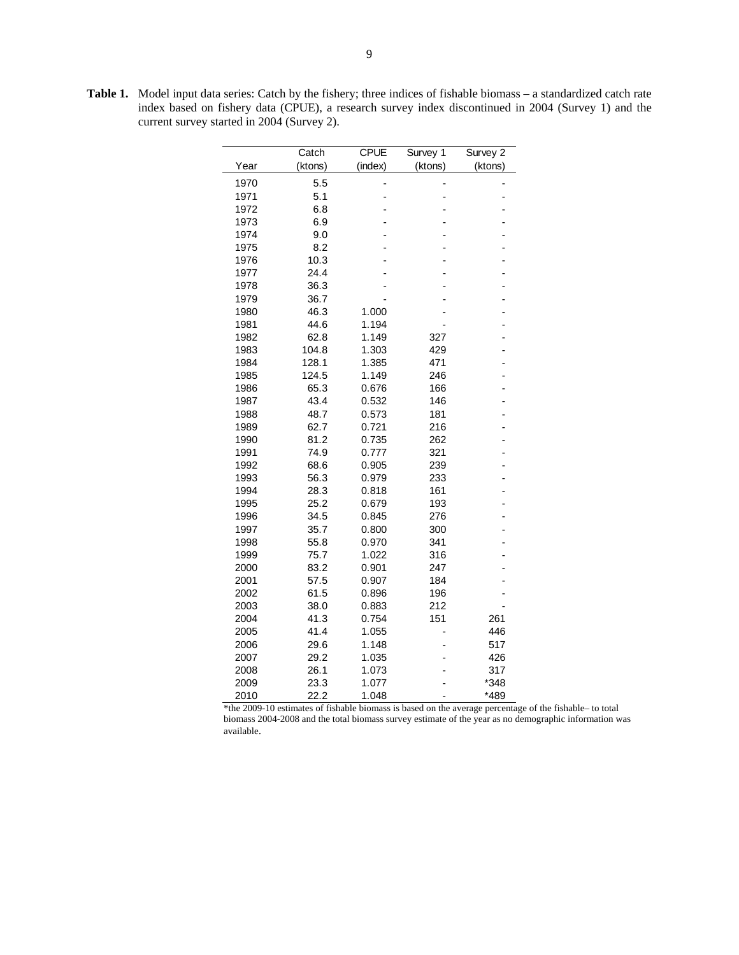**Table 1.** Model input data series: Catch by the fishery; three indices of fishable biomass – a standardized catch rate index based on fishery data (CPUE), a research survey index discontinued in 2004 (Survey 1) and the current survey started in 2004 (Survey 2).

|      | Catch   | <b>CPUE</b> | Survey 1 | Survey 2 |
|------|---------|-------------|----------|----------|
| Year | (ktons) | (index)     | (ktons)  | (ktons)  |
| 1970 | 5.5     |             |          |          |
| 1971 | 5.1     |             |          |          |
| 1972 | 6.8     |             |          |          |
| 1973 | 6.9     |             |          |          |
| 1974 | 9.0     |             |          |          |
| 1975 | 8.2     |             |          |          |
| 1976 | 10.3    |             |          |          |
| 1977 | 24.4    |             |          |          |
| 1978 | 36.3    |             |          |          |
| 1979 | 36.7    |             |          |          |
| 1980 | 46.3    | 1.000       |          |          |
| 1981 | 44.6    | 1.194       |          |          |
| 1982 | 62.8    | 1.149       | 327      |          |
| 1983 | 104.8   | 1.303       | 429      |          |
| 1984 | 128.1   | 1.385       | 471      | -        |
| 1985 | 124.5   | 1.149       | 246      |          |
| 1986 | 65.3    | 0.676       | 166      |          |
| 1987 | 43.4    | 0.532       | 146      |          |
| 1988 | 48.7    | 0.573       | 181      |          |
| 1989 | 62.7    | 0.721       | 216      |          |
| 1990 | 81.2    | 0.735       | 262      |          |
| 1991 | 74.9    | 0.777       | 321      | -        |
| 1992 | 68.6    | 0.905       | 239      |          |
| 1993 | 56.3    | 0.979       | 233      |          |
| 1994 | 28.3    | 0.818       | 161      |          |
| 1995 | 25.2    | 0.679       | 193      |          |
| 1996 | 34.5    | 0.845       | 276      |          |
| 1997 | 35.7    | 0.800       | 300      |          |
| 1998 | 55.8    | 0.970       | 341      |          |
| 1999 | 75.7    | 1.022       | 316      |          |
| 2000 | 83.2    | 0.901       | 247      |          |
| 2001 | 57.5    | 0.907       | 184      |          |
| 2002 | 61.5    | 0.896       | 196      |          |
| 2003 | 38.0    | 0.883       | 212      |          |
| 2004 | 41.3    | 0.754       | 151      | 261      |
| 2005 | 41.4    | 1.055       |          | 446      |
| 2006 | 29.6    | 1.148       |          | 517      |
| 2007 | 29.2    | 1.035       |          | 426      |
| 2008 | 26.1    | 1.073       |          | 317      |
| 2009 | 23.3    | 1.077       |          | *348     |
| 2010 | 22.2    | 1.048       |          | *489     |

\*the 2009-10 estimates of fishable biomass is based on the average percentage of the fishable– to total biomass 2004-2008 and the total biomass survey estimate of the year as no demographic information was available.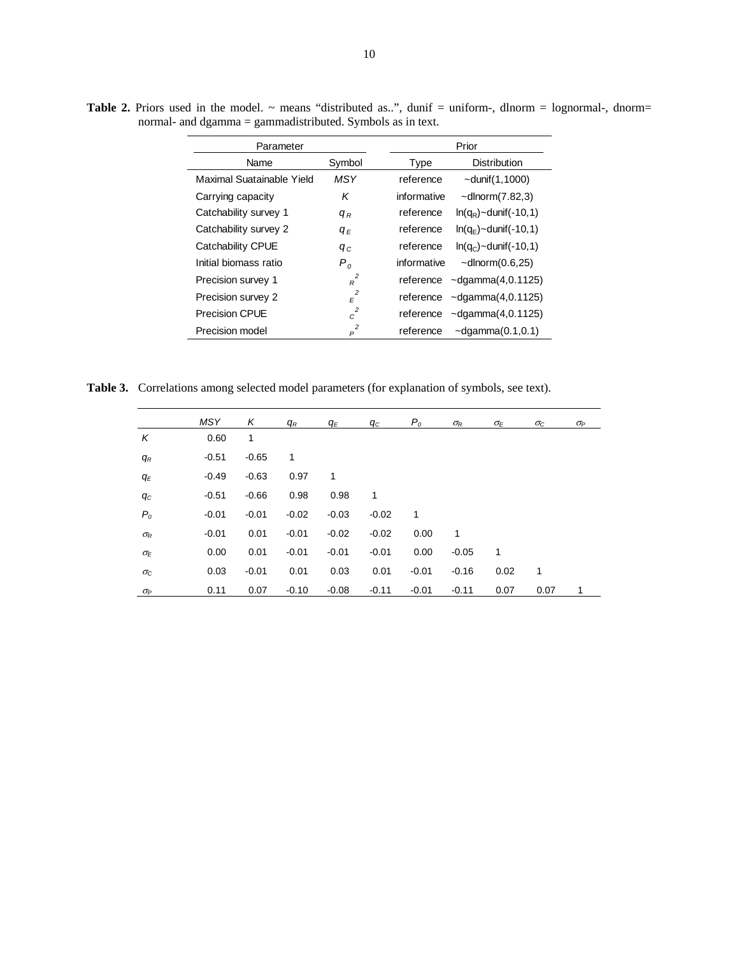| Parameter                 |                              | Prior                                    |  |  |  |
|---------------------------|------------------------------|------------------------------------------|--|--|--|
| Name                      | Symbol                       | <b>Distribution</b><br>Type              |  |  |  |
| Maximal Suatainable Yield | <b>MSY</b>                   | $\sim$ dunif $(1, 1000)$<br>reference    |  |  |  |
| Carrying capacity         | Κ                            | informative<br>$\sim$ dlnorm $(7.82,3)$  |  |  |  |
| Catchability survey 1     | $q_R$                        | reference<br>$ln(q_R)$ ~dunif(-10,1)     |  |  |  |
| Catchability survey 2     | $q_E$                        | reference<br>$ln(q_F)$ ~dunif(-10,1)     |  |  |  |
| Catchability CPUE         | $q_c$                        | reference<br>$ln(q_c)$ ~dunif(-10,1)     |  |  |  |
| Initial biomass ratio     | P <sub>o</sub>               | informative<br>$\sim$ dlnorm $(0.6,25)$  |  |  |  |
| Precision survey 1        | $R^2$                        | $\sim$ dgamma $(4, 0.1125)$<br>reference |  |  |  |
| Precision survey 2        | $\varepsilon^2$              | $\sim$ dgamma $(4, 0.1125)$<br>reference |  |  |  |
| <b>Precision CPUE</b>     | $c^2$                        | $\sim$ dgamma $(4, 0.1125)$<br>reference |  |  |  |
| Precision model           | $\overline{\mathbf{c}}$<br>P | reference<br>$\sim$ dgamma $(0.1, 0.1)$  |  |  |  |

Table 2. Priors used in the model. ~ means "distributed as..", dunif = uniform-, dlnorm = lognormal-, dnorm= normal- and dgamma = gammadistributed. Symbols as in text.

**Table 3.** Correlations among selected model parameters (for explanation of symbols, see text).

|                  | <b>MSY</b> | Κ       | $q_R$   | q <sub>Ε</sub> | qс      | $P_o$   | $\sigma_{\!R}$ | $\sigma_E$ | $\sigma_{\rm C}$ | OР |
|------------------|------------|---------|---------|----------------|---------|---------|----------------|------------|------------------|----|
| Κ                | 0.60       | 1       |         |                |         |         |                |            |                  |    |
| $q_R$            | $-0.51$    | $-0.65$ | 1       |                |         |         |                |            |                  |    |
| $q_E$            | $-0.49$    | $-0.63$ | 0.97    | 1              |         |         |                |            |                  |    |
| $q_{C}$          | $-0.51$    | $-0.66$ | 0.98    | 0.98           | 1       |         |                |            |                  |    |
| P <sub>o</sub>   | $-0.01$    | $-0.01$ | $-0.02$ | $-0.03$        | $-0.02$ | 1       |                |            |                  |    |
| $\sigma_R$       | $-0.01$    | 0.01    | $-0.01$ | $-0.02$        | $-0.02$ | 0.00    | 1              |            |                  |    |
| $\sigma_{E}$     | 0.00       | 0.01    | $-0.01$ | $-0.01$        | $-0.01$ | 0.00    | $-0.05$        | 1          |                  |    |
| $\sigma_{\rm C}$ | 0.03       | $-0.01$ | 0.01    | 0.03           | 0.01    | $-0.01$ | $-0.16$        | 0.02       | 1                |    |
| $\sigma_P$       | 0.11       | 0.07    | $-0.10$ | $-0.08$        | $-0.11$ | $-0.01$ | $-0.11$        | 0.07       | 0.07             | 1  |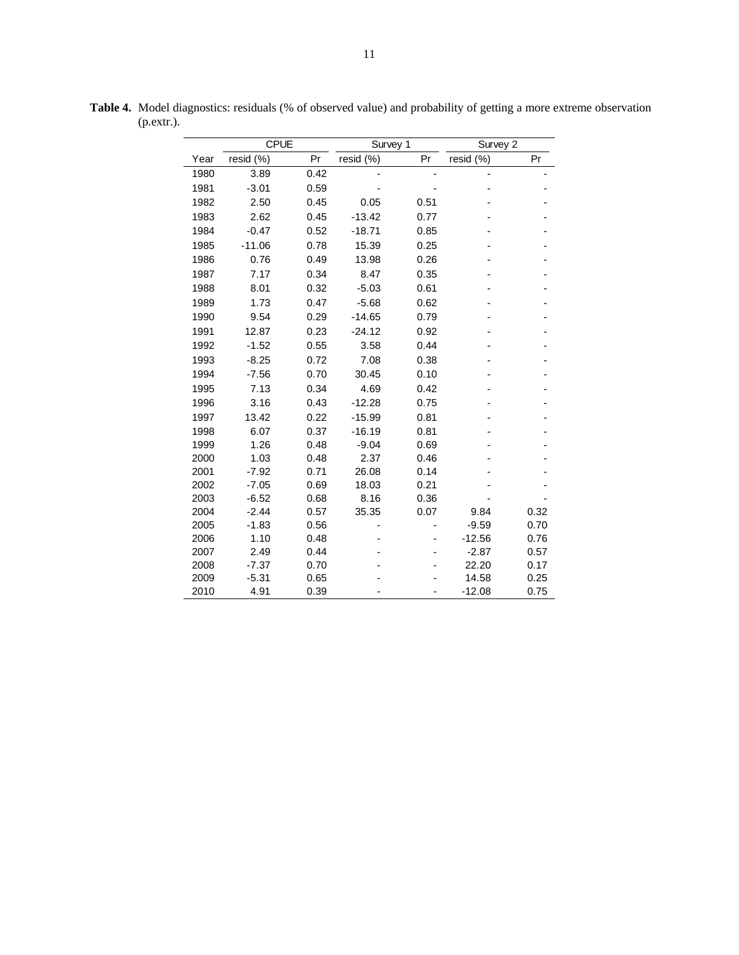|              | <b>CPUE</b>     |              |           | Survey 1<br>Survey 2 |                  |              |
|--------------|-----------------|--------------|-----------|----------------------|------------------|--------------|
| Year         | resid (%)       | Pr           | resid (%) | Pr                   | resid (%)        | Pr           |
| 1980         | 3.89            | 0.42         |           |                      |                  |              |
| 1981         | $-3.01$         | 0.59         |           |                      |                  |              |
| 1982         | 2.50            | 0.45         | 0.05      | 0.51                 |                  |              |
| 1983         | 2.62            | 0.45         | $-13.42$  | 0.77                 |                  |              |
| 1984         | $-0.47$         | 0.52         | $-18.71$  | 0.85                 |                  |              |
| 1985         | $-11.06$        | 0.78         | 15.39     | 0.25                 |                  |              |
| 1986         | 0.76            | 0.49         | 13.98     | 0.26                 |                  |              |
| 1987         | 7.17            | 0.34         | 8.47      | 0.35                 |                  |              |
| 1988         | 8.01            | 0.32         | $-5.03$   | 0.61                 |                  |              |
| 1989         | 1.73            | 0.47         | $-5.68$   | 0.62                 |                  |              |
| 1990         | 9.54            | 0.29         | $-14.65$  | 0.79                 |                  |              |
| 1991         | 12.87           | 0.23         | $-24.12$  | 0.92                 |                  |              |
| 1992         | $-1.52$         | 0.55         | 3.58      | 0.44                 |                  |              |
| 1993         | $-8.25$         | 0.72         | 7.08      | 0.38                 |                  |              |
| 1994         | $-7.56$         | 0.70         | 30.45     | 0.10                 |                  |              |
| 1995         | 7.13            | 0.34         | 4.69      | 0.42                 |                  |              |
| 1996         | 3.16            | 0.43         | $-12.28$  | 0.75                 |                  |              |
| 1997         | 13.42           | 0.22         | $-15.99$  | 0.81                 |                  |              |
| 1998         | 6.07            | 0.37         | $-16.19$  | 0.81                 |                  |              |
| 1999         | 1.26            | 0.48         | $-9.04$   | 0.69                 |                  |              |
| 2000         | 1.03            | 0.48         | 2.37      | 0.46                 |                  |              |
| 2001         | $-7.92$         | 0.71         | 26.08     | 0.14                 |                  |              |
| 2002         | $-7.05$         | 0.69         | 18.03     | 0.21                 |                  |              |
| 2003         | $-6.52$         | 0.68         | 8.16      | 0.36                 |                  |              |
| 2004         | $-2.44$         | 0.57         | 35.35     | 0.07                 | 9.84             | 0.32         |
| 2005         | $-1.83$         | 0.56         |           |                      | $-9.59$          | 0.70         |
| 2006         | 1.10            | 0.48         |           |                      | $-12.56$         | 0.76         |
| 2007<br>2008 | 2.49<br>$-7.37$ | 0.44<br>0.70 |           |                      | $-2.87$<br>22.20 | 0.57<br>0.17 |
| 2009         | $-5.31$         | 0.65         |           |                      | 14.58            | 0.25         |
| 2010         | 4.91            | 0.39         |           |                      | $-12.08$         | 0.75         |

**Table 4.** Model diagnostics: residuals (% of observed value) and probability of getting a more extreme observation (p.extr.).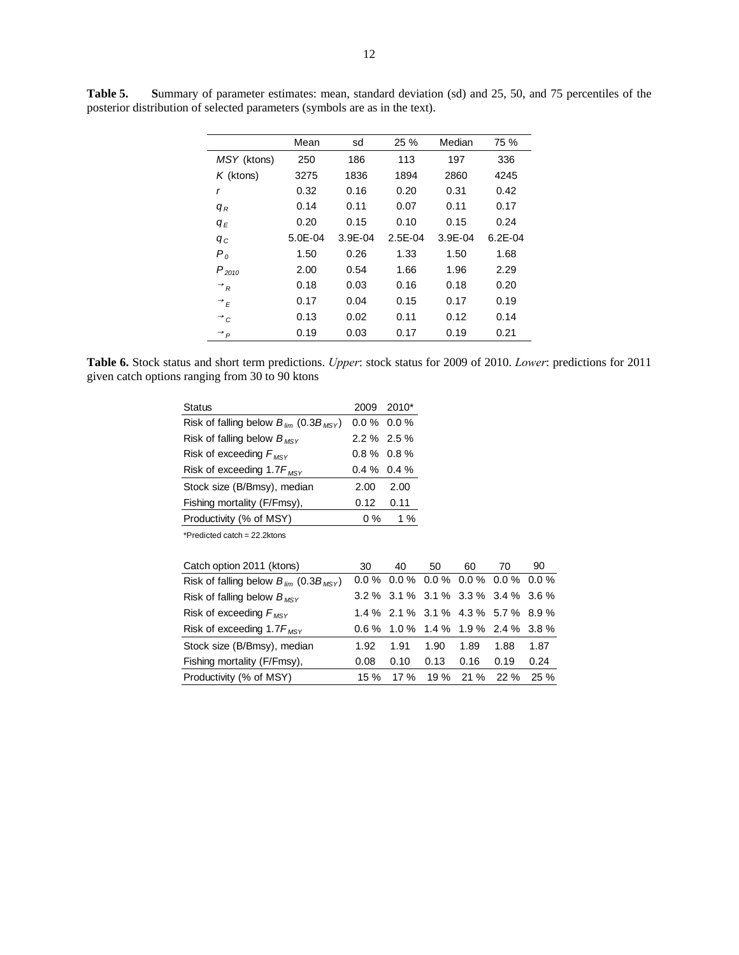|                              | Mean        | sd          | 25 %      | Median      | 75 %        |
|------------------------------|-------------|-------------|-----------|-------------|-------------|
| MSY (ktons)                  | 250         | 186         | 113       | 197         | 336         |
| $K$ (ktons)                  | 3275        | 1836        | 1894      | 2860        | 4245        |
| r                            | 0.32        | 0.16        | 0.20      | 0.31        | 0.42        |
| $q_R$                        | 0.14        | 0.11        | 0.07      | 0.11        | 0.17        |
| $q_E$                        | 0.20        | 0.15        | 0.10      | 0.15        | 0.24        |
| $q_c$                        | $5.0E - 04$ | $3.9E - 04$ | $2.5E-04$ | $3.9E - 04$ | $6.2E - 04$ |
| P <sub>o</sub>               | 1.50        | 0.26        | 1.33      | 1.50        | 1.68        |
| $P_{2010}$                   | 2.00        | 0.54        | 1.66      | 1.96        | 2.29        |
| $\rightarrow$ <sub>R</sub>   | 0.18        | 0.03        | 0.16      | 0.18        | 0.20        |
| $\rightarrow$ $\overline{E}$ | 0.17        | 0.04        | 0.15      | 0.17        | 0.19        |
| $\rightarrow$ c              | 0.13        | 0.02        | 0.11      | 0.12        | 0.14        |
| $\rightarrow$ $\rightarrow$  | 0.19        | 0.03        | 0.17      | 0.19        | 0.21        |

**Table 5. S**ummary of parameter estimates: mean, standard deviation (sd) and 25, 50, and 75 percentiles of the posterior distribution of selected parameters (symbols are as in the text).

**Table 6.** Stock status and short term predictions. *Upper*: stock status for 2009 of 2010. *Lower*: predictions for 2011 given catch options ranging from 30 to 90 ktons

| <b>Status</b>                                                  |               | 2009 2010*    |
|----------------------------------------------------------------|---------------|---------------|
| Risk of falling below $B_{\text{lim}}$ (0.3 $B_{\text{MSY}}$ ) |               | $0.0\%$ 0.0 % |
| Risk of falling below $B_{MSY}$                                | $2.2\%$ 2.5 % |               |
| Risk of exceeding $F_{MSV}$                                    | $0.8\%$ 0.8%  |               |
| Risk of exceeding 1.7 $F_{MSY}$                                | $0.4\%$ 0.4 % |               |
| Stock size (B/Bmsy), median                                    | 2.00          | 2.00          |
| Fishing mortality (F/Fmsy),                                    | 0.12          | 0.11          |
| Productivity (% of MSY)                                        | $0\%$         | 1%            |
| *Predicted catch = $22.2$ ktons                                |               |               |
|                                                                |               |               |
|                                                                |               |               |

| Catch option 2011 (ktons)                        | 30   | 40                                    | 50   | 60        | 70   | 90   |
|--------------------------------------------------|------|---------------------------------------|------|-----------|------|------|
| Risk of falling below $B_{lim}$ (0.3 $B_{MSV}$ ) |      | $0.0\%$ 0.0% 0.0% 0.0% 0.0% 0.0%      |      |           |      |      |
| Risk of falling below $B_{MSY}$                  |      | $3.2\%$ 3.1 % 3.1 % 3.3 % 3.4 % 3.6 % |      |           |      |      |
| Risk of exceeding $F_{MSV}$                      |      | 1.4 % 2.1 % 3.1 % 4.3 % 5.7 % 8.9 %   |      |           |      |      |
| Risk of exceeding 1.7 $F_{MSY}$                  |      | $0.6\%$ 1.0 % 1.4 % 1.9 % 2.4 % 3.8 % |      |           |      |      |
| Stock size (B/Bmsy), median                      | 1.92 | 1.91                                  | 1.90 | 1.89      | 1.88 | 1.87 |
| Fishing mortality (F/Fmsy),                      | 0.08 | 0.10                                  | 0.13 | 0.16      | 0.19 | 0.24 |
| Productivity (% of MSY)                          | 15 % | 17 %                                  |      | 19 % 21 % | 22 % | 25%  |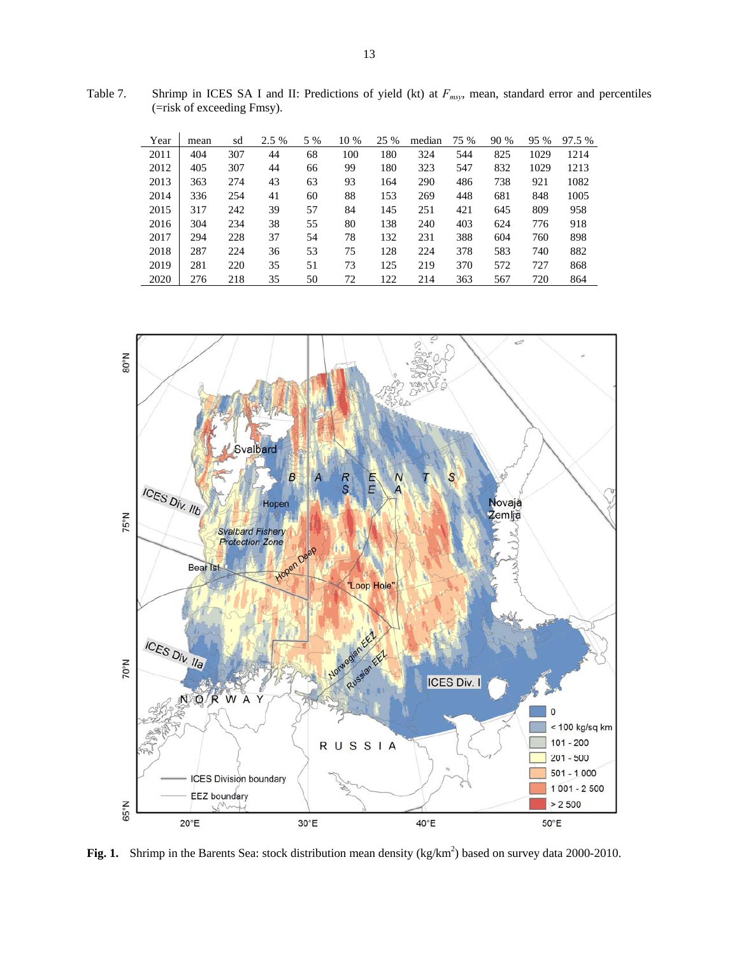Table 7. Shrimp in ICES SA I and II: Predictions of yield (kt) at  $F_{msy}$ , mean, standard error and percentiles (=risk of exceeding Fmsy).

| Year | mean | sd  | 2.5 % | 5 % | 10 % | 25 % | median | 75 % | 90 % | 95 % | 97.5 % |
|------|------|-----|-------|-----|------|------|--------|------|------|------|--------|
| 2011 | 404  | 307 | 44    | 68  | 100  | 180  | 324    | 544  | 825  | 1029 | 1214   |
| 2012 | 405  | 307 | 44    | 66  | 99   | 180  | 323    | 547  | 832  | 1029 | 1213   |
| 2013 | 363  | 274 | 43    | 63  | 93   | 164  | 290    | 486  | 738  | 921  | 1082   |
| 2014 | 336  | 254 | 41    | 60  | 88   | 153  | 269    | 448  | 681  | 848  | 1005   |
| 2015 | 317  | 242 | 39    | 57  | 84   | 145  | 251    | 421  | 645  | 809  | 958    |
| 2016 | 304  | 234 | 38    | 55  | 80   | 138  | 240    | 403  | 624  | 776  | 918    |
| 2017 | 294  | 228 | 37    | 54  | 78   | 132  | 231    | 388  | 604  | 760  | 898    |
| 2018 | 287  | 224 | 36    | 53  | 75   | 128  | 224    | 378  | 583  | 740  | 882    |
| 2019 | 281  | 220 | 35    | 51  | 73   | 125  | 219    | 370  | 572  | 727  | 868    |
| 2020 | 276  | 218 | 35    | 50  | 72   | 122  | 214    | 363  | 567  | 720  | 864    |



**Fig. 1.** Shrimp in the Barents Sea: stock distribution mean density  $(kg/km^2)$  based on survey data 2000-2010.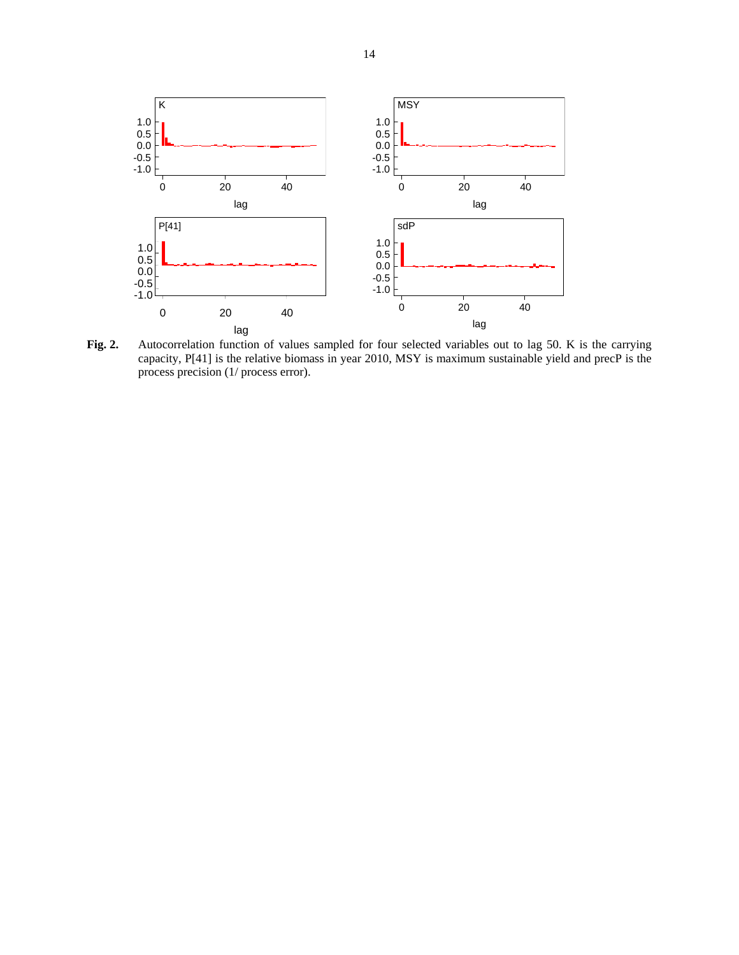

**Fig. 2.** Autocorrelation function of values sampled for four selected variables out to lag 50. K is the carrying capacity, P[41] is the relative biomass in year 2010, MSY is maximum sustainable yield and precP is the process precision (1/ process error).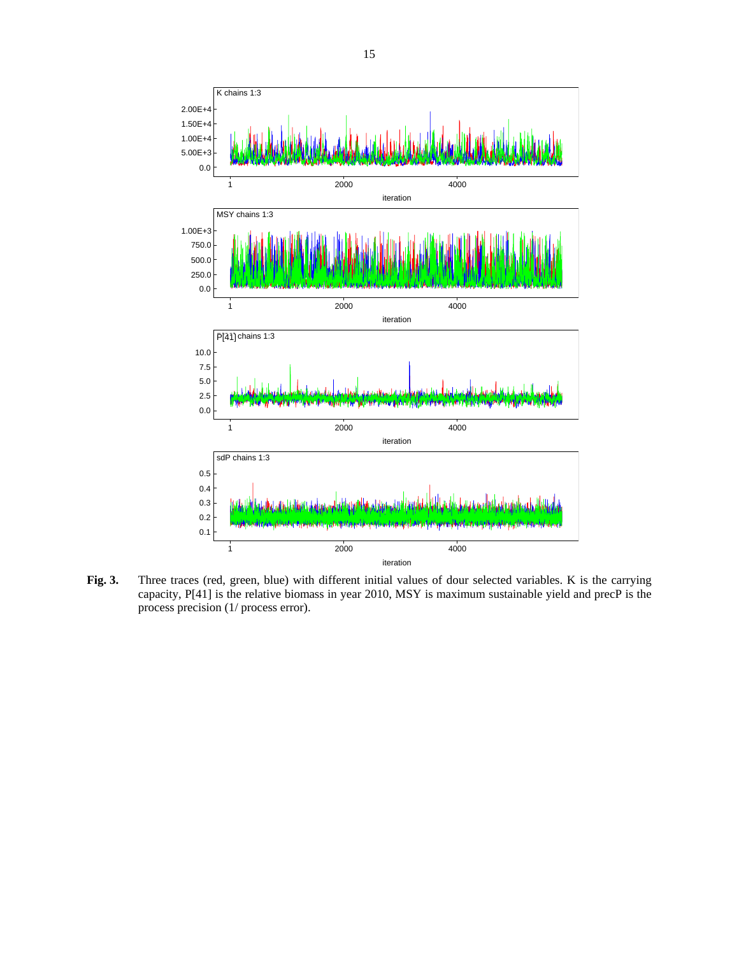

**Fig. 3.** Three traces (red, green, blue) with different initial values of dour selected variables. K is the carrying capacity, P[41] is the relative biomass in year 2010, MSY is maximum sustainable yield and precP is the process precision (1/ process error).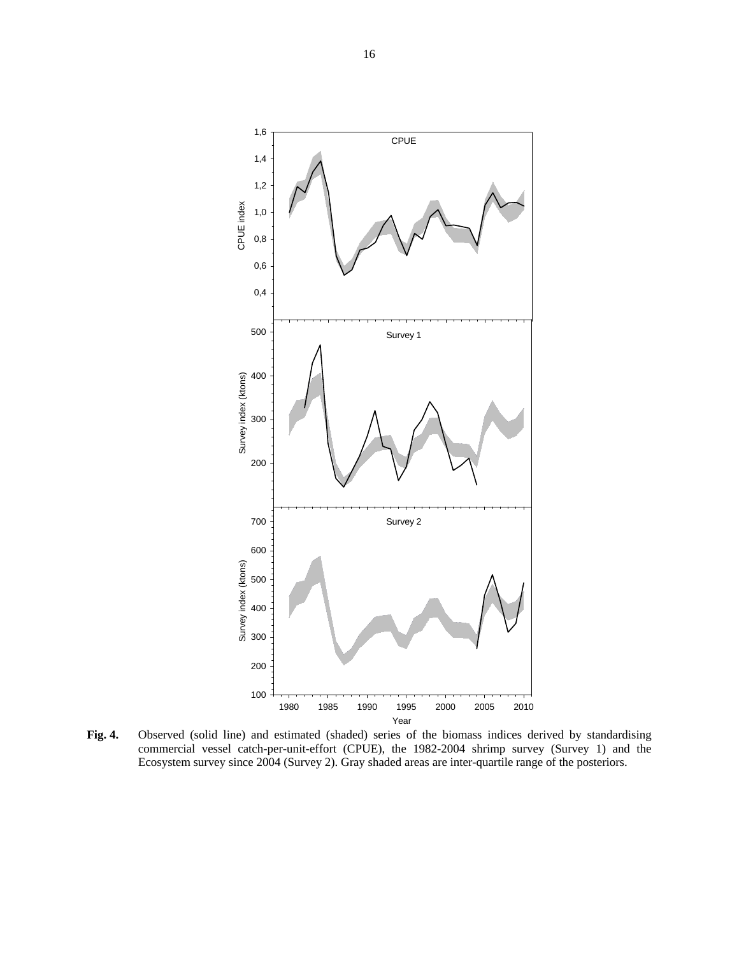

**Fig. 4.** Observed (solid line) and estimated (shaded) series of the biomass indices derived by standardising commercial vessel catch-per-unit-effort (CPUE), the 1982-2004 shrimp survey (Survey 1) and the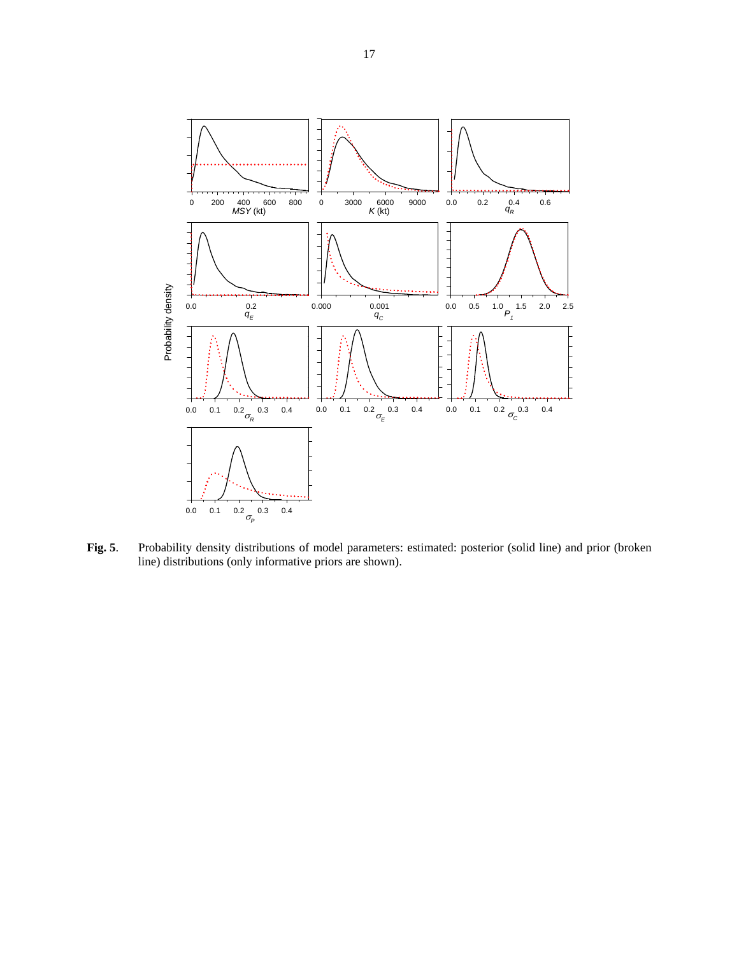

**Fig. 5**. Probability density distributions of model parameters: estimated: posterior (solid line) and prior (broken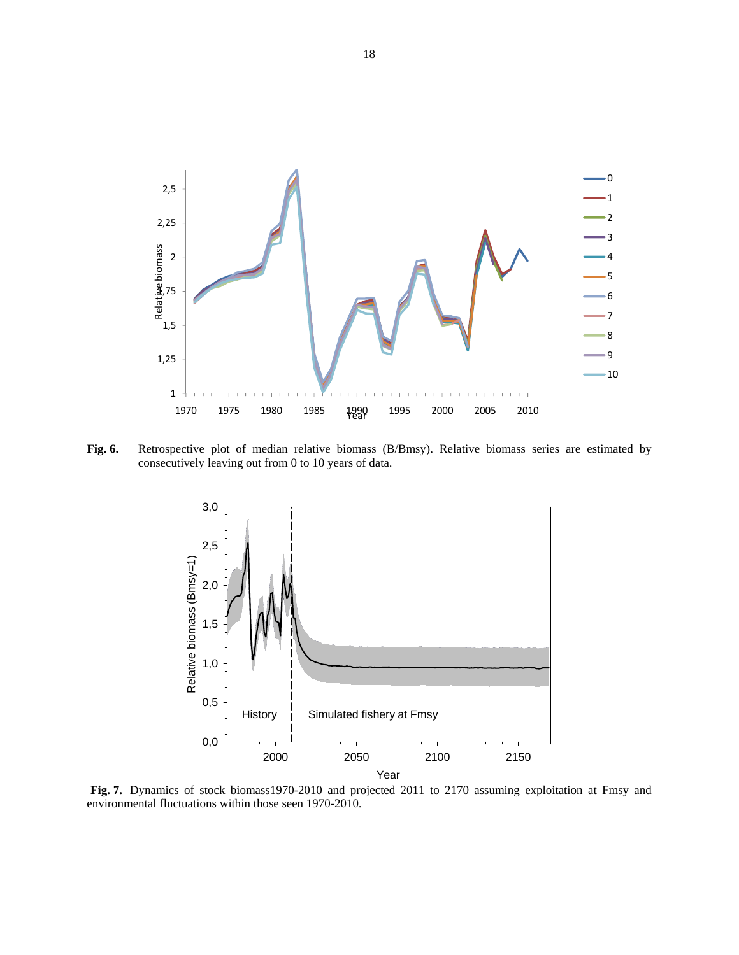

**Fig. 6.** Retrospective plot of median relative biomass (B/Bmsy). Relative biomass series are estimated by consecutively leaving out from 0 to 10 years of data.



**Fig. 7.** Dynamics of stock biomass1970-2010 and projected 2011 to 2170 assuming exploitation at Fmsy and environmental fluctuations within those seen 1970-2010.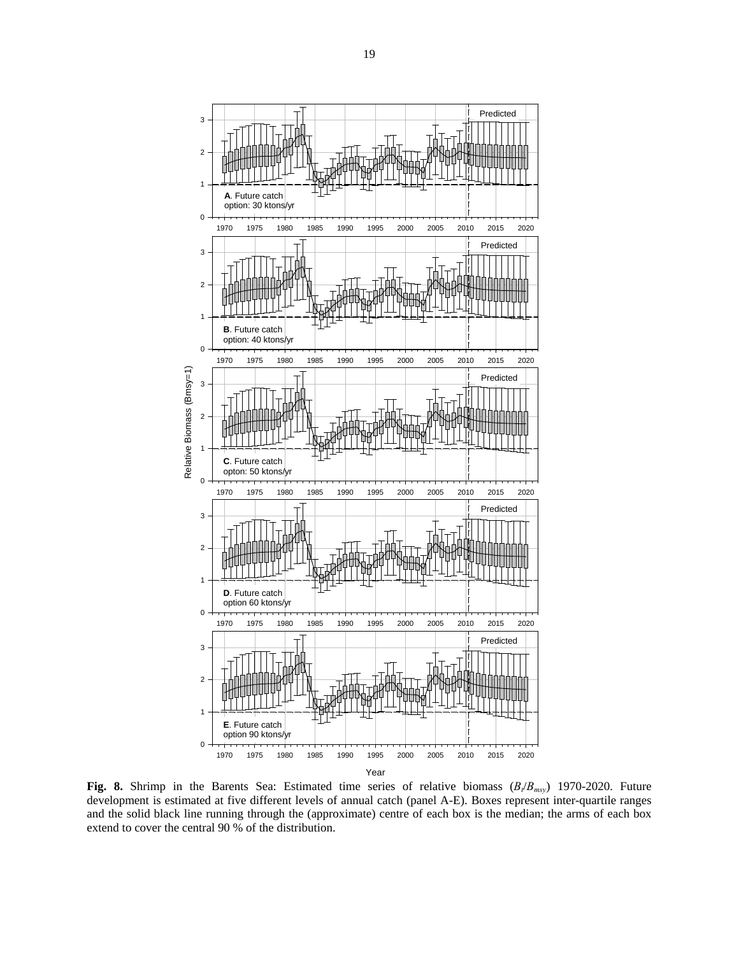

**Fig. 8.** Shrimp in the Barents Sea: Estimated time series of relative biomass  $(B_t/B_{msy})$  1970-2020. Future development is estimated at five different levels of annual catch (panel A-E). Boxes represent inter-quartile ranges and the solid black line running through the (approximate) centre of each box is the median; the arms of each box extend to cover the central 90 % of the distribution.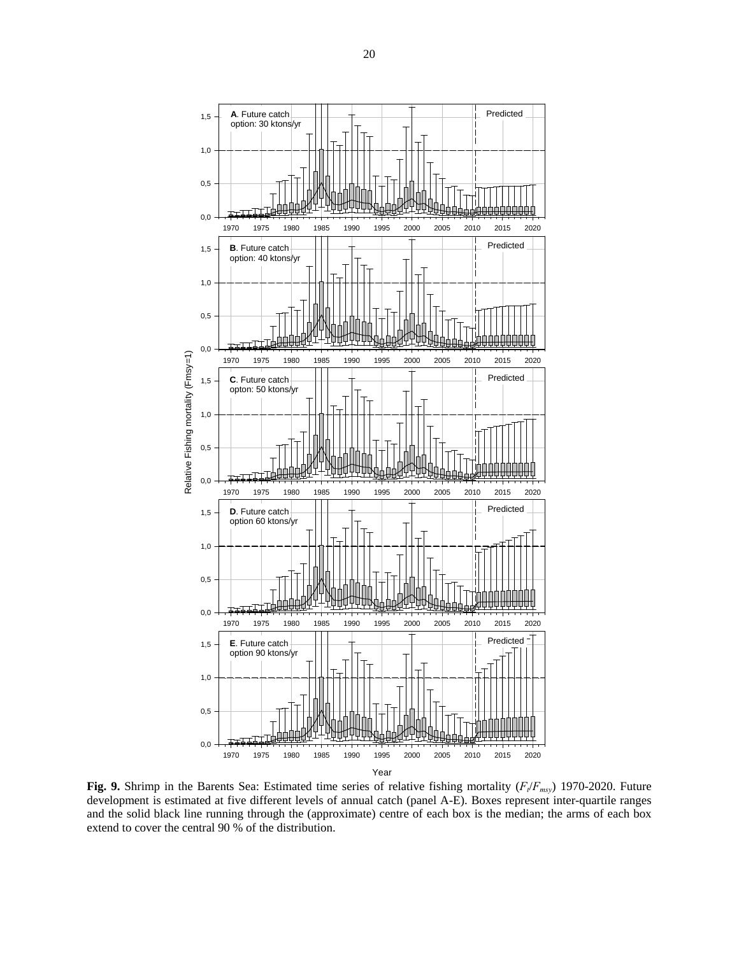

**Fig. 9.** Shrimp in the Barents Sea: Estimated time series of relative fishing mortality ( $F_t/F_{msy}$ ) 1970-2020. Future development is estimated at five different levels of annual catch (panel A-E). Boxes represent inter-quartile ranges and the solid black line running through the (approximate) centre of each box is the median; the arms of each box extend to cover the central 90 % of the distribution.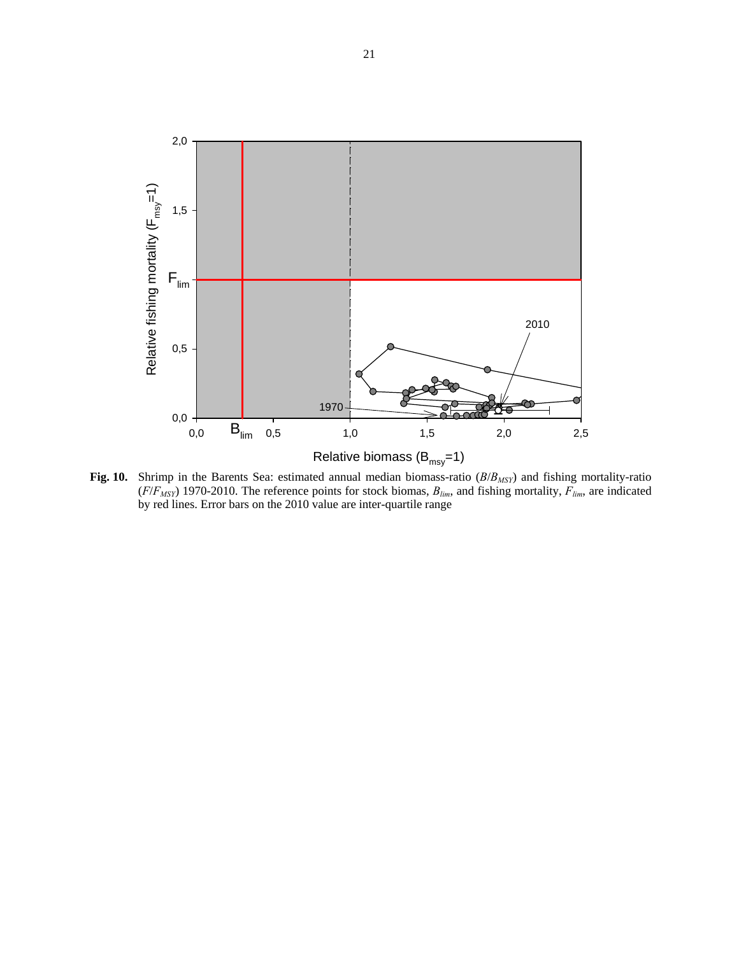

Fig. 10. Shrimp in the Barents Sea: estimated annual median biomass-ratio ( $B/B<sub>MSY</sub>$ ) and fishing mortality-ratio  $(F/F<sub>MSY</sub>)$  1970-2010. The reference points for stock biomas,  $B<sub>lim</sub>$ , and fishing mortality,  $F<sub>lim</sub>$ , are indicated by red lines. Error bars on the 2010 value are inter-quartile range